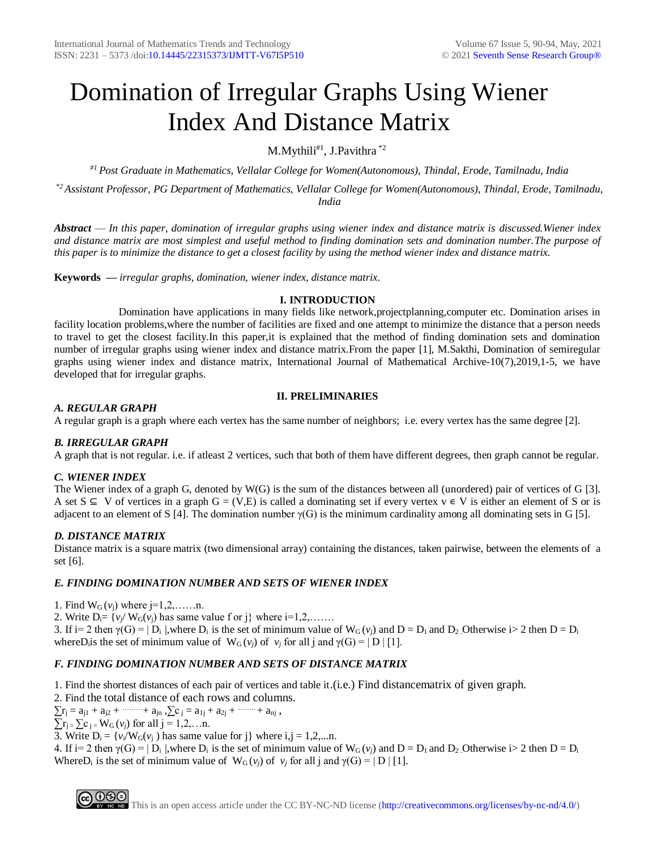# Domination of Irregular Graphs Using Wiener Index And Distance Matrix

M.Mythili $#^1$ , J.Pavithra  $*^2$ 

*#1 Post Graduate in Mathematics, Vellalar College for Women(Autonomous), Thindal, Erode, Tamilnadu, India*

*\*2 Assistant Professor, PG Department of Mathematics, Vellalar College for Women(Autonomous), Thindal, Erode, Tamilnadu, India*

*Abstract* — *In this paper, domination of irregular graphs using wiener index and distance matrix is discussed.Wiener index and distance matrix are most simplest and useful method to finding domination sets and domination number.The purpose of this paper is to minimize the distance to get a closest facility by using the method wiener index and distance matrix.*

**Keywords** *— irregular graphs, domination, wiener index, distance matrix.*

### **I. INTRODUCTION**

 Domination have applications in many fields like network,projectplanning,computer etc. Domination arises in facility location problems,where the number of facilities are fixed and one attempt to minimize the distance that a person needs to travel to get the closest facility.In this paper,it is explained that the method of finding domination sets and domination number of irregular graphs using wiener index and distance matrix.From the paper [1], M.Sakthi, Domination of semiregular graphs using wiener index and distance matrix, International Journal of Mathematical Archive-10(7),2019,1-5, we have developed that for irregular graphs.

### **II. PRELIMINARIES**

### *A. REGULAR GRAPH*

A regular graph is a graph where each vertex has the same number of neighbors; i.e. every vertex has the same degree [2].

# *B. IRREGULAR GRAPH*

A graph that is not regular. i.e. if atleast 2 vertices, such that both of them have different degrees, then graph cannot be regular.

# *C. WIENER INDEX*

The Wiener index of a graph G, denoted by W(G) is the sum of the distances between all (unordered) pair of vertices of G [3]. A set  $S \subseteq V$  of vertices in a graph  $G = (V, E)$  is called a dominating set if every vertex  $v \in V$  is either an element of S or is adjacent to an element of S [4]. The domination number  $\gamma(G)$  is the minimum cardinality among all dominating sets in G [5].

# *D. DISTANCE MATRIX*

Distance matrix is a square matrix (two dimensional array) containing the distances, taken pairwise, between the elements of a set [6].

# *E. FINDING DOMINATION NUMBER AND SETS OF WIENER INDEX*

1. Find  $W_G(v_i)$  where  $i=1,2,......n$ .

2. Write  $D_i = \{v_i / W_G(v_i) \text{ has same value } f \text{ or } j\}$  where  $i=1,2,......$ 

3. If  $i=2$  then  $\gamma(G) = |D_i|$ , where  $D_i$  is the set of minimum value of  $W_G(v_i)$  and  $D = D_1$  and  $D_2$ . Otherwise  $i>2$  then  $D = D_i$ whereD<sub>i</sub> is the set of minimum value of  $W_G(v_i)$  of  $v_j$  for all j and  $\gamma(G) = |D| |[1]$ .

# *F. FINDING DOMINATION NUMBER AND SETS OF DISTANCE MATRIX*

1. Find the shortest distances of each pair of vertices and table it.(i.e.) Find distancematrix of given graph.

2. Find the total distance of each rows and columns.

 $\sum r_j = a_{j1} + a_{j2} + \cdots + a_{jn}, \sum c_j = a_{1j} + a_{2j} + \cdots + a_{nj},$ 

 $\sum_{i=1}^{n} \sum_{j=1}^{n} W_G(v_j)$  for all  $j = 1, 2, \ldots n$ .

3. Write  $D_i = \{v_i/W_G(v_i) \text{ has same value for } j\}$  where  $i, j = 1, 2, \dots n$ .

4. If  $i=2$  then  $\gamma(G) = |D_i|$ , where  $D_i$  is the set of minimum value of  $W_G(v_i)$  and  $D = D_1$  and  $D_2$ . Otherwise  $i>2$  then  $D = D_i$ WhereD<sub>i</sub> is the set of minimum value of  $W_G(v_j)$  of  $v_j$  for all j and  $\gamma(G) = |D| [1]$ .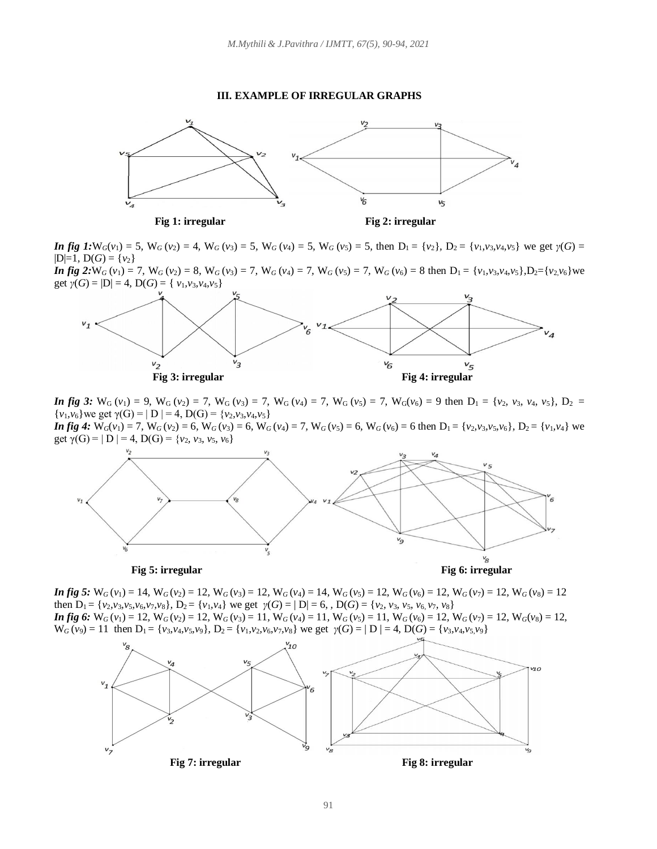#### **III. EXAMPLE OF IRREGULAR GRAPHS**





**In fig 1:**  $W_G(v_1) = 5$ ,  $W_G(v_2) = 4$ ,  $W_G(v_3) = 5$ ,  $W_G(v_4) = 5$ ,  $W_G(v_5) = 5$ , then  $D_1 = \{v_2\}$ ,  $D_2 = \{v_1, v_3, v_4, v_5\}$  we get  $\gamma(G) =$  $|D|=1$ ,  $D(G) = \{v_2\}$ 

**In fig 2:**  $W_G(v_1) = 7$ ,  $W_G(v_2) = 8$ ,  $W_G(v_3) = 7$ ,  $W_G(v_4) = 7$ ,  $W_G(v_5) = 7$ ,  $W_G(v_6) = 8$  then  $D_1 = \{v_1, v_3, v_4, v_5\}$ ,  $D_2 = \{v_2, v_6\}$  we get  $\gamma(G) = |D| = 4$ ,  $D(G) = \{ \nu_1, \nu_3, \nu_4, \nu_5 \}$ 



*In fig 3:*  $W_G(v_1) = 9$ ,  $W_G(v_2) = 7$ ,  $W_G(v_3) = 7$ ,  $W_G(v_4) = 7$ ,  $W_G(v_5) = 7$ ,  $W_G(v_6) = 9$  then  $D_1 = \{v_2, v_3, v_4, v_5\}$ ,  $D_2 =$ {*v*<sub>1</sub>*, v*<sub>6</sub>} we get  $\gamma$ (G) = | D | = 4, D(G) = {*v*<sub>2</sub>*,v*<sub>3</sub>*,v*<sub>4</sub>*,v*<sub>5</sub>}

**In fig 4:**  $W_G(v_1) = 7$ ,  $W_G(v_2) = 6$ ,  $W_G(v_3) = 6$ ,  $W_G(v_4) = 7$ ,  $W_G(v_5) = 6$ ,  $W_G(v_6) = 6$  then  $D_1 = \{v_2, v_3, v_5, v_6\}$ ,  $D_2 = \{v_1, v_4\}$  we get  $\gamma(G) = | D | = 4, D(G) = \{v_2, v_3, v_5, v_6\}$ 





**In fig 5:**  $W_G(v_1) = 14$ ,  $W_G(v_2) = 12$ ,  $W_G(v_3) = 12$ ,  $W_G(v_4) = 14$ ,  $W_G(v_5) = 12$ ,  $W_G(v_6) = 12$ ,  $W_G(v_7) = 12$ ,  $W_G(v_8) = 12$ then  $D_1 = \{v_2, v_3, v_5, v_6, v_7, v_8\}$ ,  $D_2 = \{v_1, v_4\}$  we get  $\gamma(G) = |D| = 6$ ,  $D(G) = \{v_2, v_3, v_5, v_6, v_7, v_8\}$ **In fig 6:**  $W_G(v_1) = 12$ ,  $W_G(v_2) = 12$ ,  $W_G(v_3) = 11$ ,  $W_G(v_4) = 11$ ,  $W_G(v_5) = 11$ ,  $W_G(v_6) = 12$ ,  $W_G(v_7) = 12$ ,  $W_G(v_8) = 12$ ,  $W_G(v_9) = 11$  then  $D_1 = \{v_3, v_4, v_5, v_9\}$ ,  $D_2 = \{v_1, v_2, v_6, v_7, v_8\}$  we get  $\gamma(G) = |D| = 4$ ,  $D(G) = \{v_3, v_4, v_5, v_9\}$ 

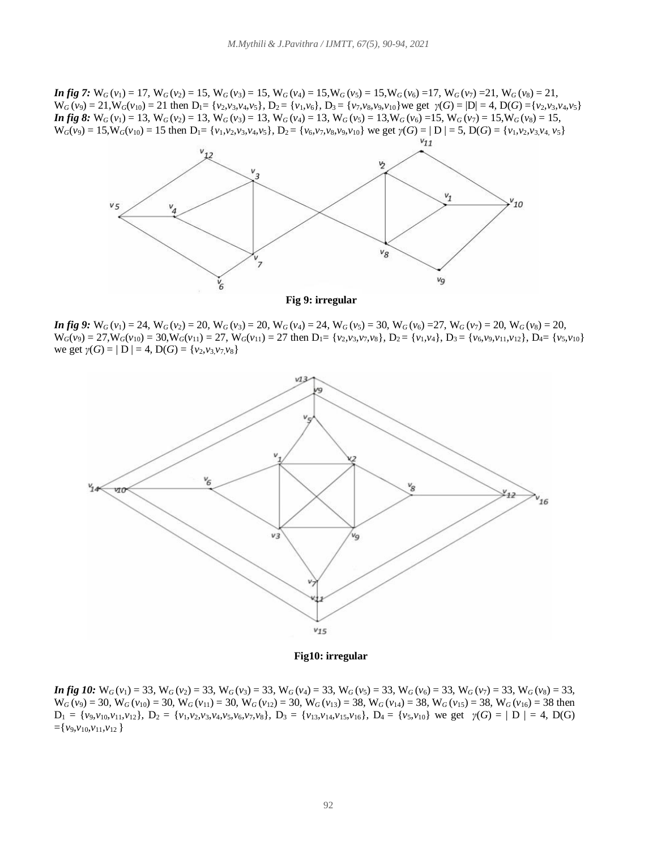**In fig 7:**  $W_G(v_1) = 17$ ,  $W_G(v_2) = 15$ ,  $W_G(v_3) = 15$ ,  $W_G(v_4) = 15$ ,  $W_G(v_5) = 15$ ,  $W_G(v_6) = 17$ ,  $W_G(v_7) = 21$ ,  $W_G(v_8) = 21$ ,  $W_G(v_9) = 21$ ,  $W_G(v_{10}) = 21$  then  $D_1 = \{v_2, v_3, v_4, v_5\}$ ,  $D_2 = \{v_1, v_6\}$ ,  $D_3 = \{v_7, v_8, v_9, v_{10}\}$  we get  $\gamma(G) = |D| = 4$ ,  $D(G) = \{v_2, v_3, v_4, v_5\}$ **In fig 8:**  $W_G(v_1) = 13$ ,  $W_G(v_2) = 13$ ,  $W_G(v_3) = 13$ ,  $W_G(v_4) = 13$ ,  $W_G(v_5) = 13$ ,  $W_G(v_6) = 15$ ,  $W_G(v_7) = 15$ ,  $W_G(v_8) = 15$ ,  $W_G(v_9) = 15$ ,  $W_G(v_{10}) = 15$  then  $D_1 = \{v_1, v_2, v_3, v_4, v_5\}$ ,  $D_2 = \{v_6, v_7, v_8, v_9, v_{10}\}$  we get  $\gamma(G) = |D| = 5$ ,  $D(G) = \{v_1, v_2, v_3, v_4, v_5\}$ 



**Fig 9: irregular**

**In fig 9:**  $W_G(v_1) = 24$ ,  $W_G(v_2) = 20$ ,  $W_G(v_3) = 20$ ,  $W_G(v_4) = 24$ ,  $W_G(v_5) = 30$ ,  $W_G(v_6) = 27$ ,  $W_G(v_7) = 20$ ,  $W_G(v_8) = 20$ ,  $W_G(v_9) = 27$ ,  $W_G(v_{10}) = 30$ ,  $W_G(v_{11}) = 27$ ,  $W_G(v_{11}) = 27$  then  $D_1 = \{v_2, v_3, v_7, v_8\}$ ,  $D_2 = \{v_1, v_4\}$ ,  $D_3 = \{v_6, v_9, v_{11}, v_{12}\}$ ,  $D_4 = \{v_5, v_{10}\}$ we get  $\gamma(G) = |D| = 4$ ,  $D(G) = \{v_2, v_3, v_7, v_8\}$ 



 **Fig10: irregular**

**In fig 10:**  $W_G(v_1) = 33$ ,  $W_G(v_2) = 33$ ,  $W_G(v_3) = 33$ ,  $W_G(v_4) = 33$ ,  $W_G(v_5) = 33$ ,  $W_G(v_6) = 33$ ,  $W_G(v_7) = 33$ ,  $W_G(v_8) = 33$ ,  $W_G(v_9) = 30$ ,  $W_G(v_{10}) = 30$ ,  $W_G(v_{11}) = 30$ ,  $W_G(v_{12}) = 30$ ,  $W_G(v_{13}) = 38$ ,  $W_G(v_{14}) = 38$ ,  $W_G(v_{15}) = 38$ ,  $W_G(v_{16}) = 38$  then  $D_1 = \{v_9, v_{10}, v_{11}, v_{12}\}\$ ,  $D_2 = \{v_1, v_2, v_3, v_4, v_5, v_6, v_7, v_8\}\$ ,  $D_3 = \{v_{13}, v_{14}, v_{15}, v_{16}\}\$ ,  $D_4 = \{v_5, v_{10}\}\$  we get  $\gamma(G) = |D| = 4$ ,  $D(G)$  $=\{v_9, v_{10}, v_{11}, v_{12}\}$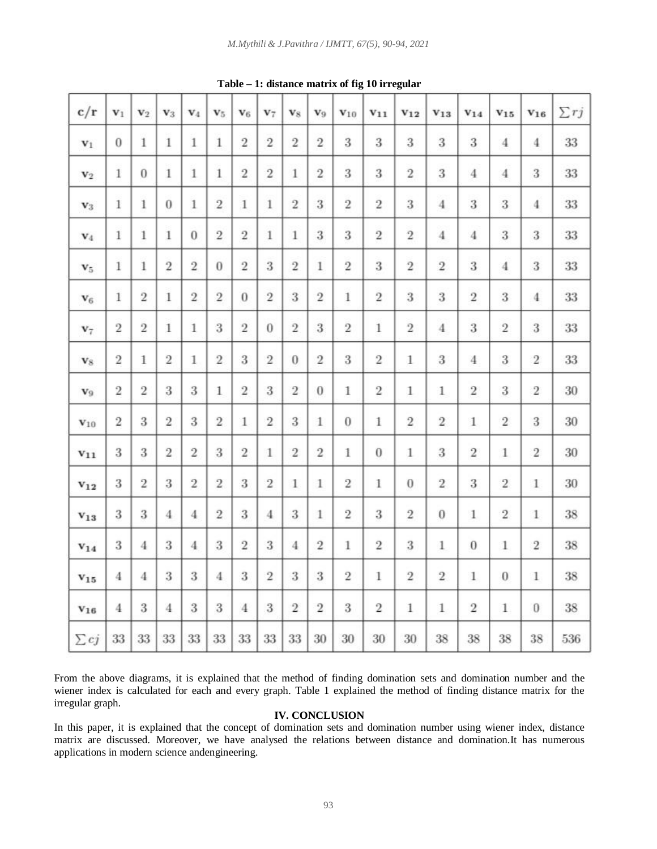| c/r            | $v_1$          | $\mathbf{v}_2$ | $v_3$          | $V_4$          | $V_5$          | $V_6$          | $V_7$          | v <sub>s</sub> | $V_9$          | $V_{10}$         | $V_{11}$       | $V_{12}$       | $V_{13}$       | $V_{14}$       | $V_{15}$       | $V_{16}$       | $\sum rj$ |
|----------------|----------------|----------------|----------------|----------------|----------------|----------------|----------------|----------------|----------------|------------------|----------------|----------------|----------------|----------------|----------------|----------------|-----------|
| $\mathbf{v}_1$ | $\theta$       | $\mathbf{1}$   | 1              | $\mathbf{1}$   | $\mathbf{1}$   | $\overline{2}$ | $\overline{2}$ | $\overline{2}$ | $\overline{2}$ | 3                | 3              | 3              | 3              | 3              | $\overline{4}$ | $\overline{4}$ | 33        |
| $\mathbf{v}_2$ | $\mathbf{1}$   | $\overline{0}$ | $\mathbf{1}$   | $\mathbf{1}$   | $\mathbf{1}$   | $\overline{2}$ | $\overline{2}$ | $\mathbf{1}$   | $\overline{2}$ | 3                | 3              | $\overline{2}$ | 3              | $\overline{4}$ | $\overline{4}$ | 3              | 33        |
| $\mathbf{v}_3$ | $\mathbf{1}$   | $\mathbf{1}$   | $\bf{0}$       | $\mathbf{1}$   | $\overline{2}$ | 1              | $\mathbf{1}$   | $\overline{2}$ | 3              | $\overline{2}$   | $\overline{2}$ | 3              | $\overline{4}$ | 3              | 3              | $\overline{4}$ | 33        |
| $V_4$          | $\mathbf{1}$   | $\mathbf{1}$   | 1              | $\overline{0}$ | $\overline{2}$ | $\overline{2}$ | $\mathbf{1}$   | $\mathbf{1}$   | 3              | 3                | $\overline{2}$ | $\overline{2}$ | $\overline{4}$ | $\overline{4}$ | 3              | 3              | 33        |
| $\mathbf{v}_5$ | $1\,$          | $\mathbf{1}$   | $\overline{2}$ | $\overline{2}$ | $\theta$       | $\overline{2}$ | 3              | $\overline{2}$ | $\,1$          | $\overline{2}$   | 3              | $\overline{2}$ | $\overline{2}$ | 3              | $\overline{4}$ | 3              | 33        |
| $\mathbf{v}_6$ | $\mathbf{1}$   | $\overline{2}$ | 1              | $\overline{2}$ | $\overline{2}$ | $\bf{0}$       | $\overline{2}$ | 3              | $\overline{2}$ | 1                | $\overline{2}$ | 3              | 3              | $\overline{2}$ | 3              | $\overline{4}$ | 33        |
| $v_7$          | $\overline{2}$ | $\overline{2}$ | $\mathbf{1}$   | $\mathbf{1}$   | 3              | $\overline{2}$ | $\bf{0}$       | $\overline{2}$ | 3              | $\overline{2}$   | $\mathbf{1}$   | $\overline{2}$ | $\overline{4}$ | 3              | $\overline{2}$ | 3              | 33        |
| $\mathbf{v}_8$ | $\overline{2}$ | 1              | $\overline{2}$ | $\mathbf{1}$   | $\overline{2}$ | 3              | $\overline{2}$ | $\bf{0}$       | $\overline{2}$ | 3                | $\overline{2}$ | $\mathbf{1}$   | 3              | $\overline{4}$ | 3              | $\overline{2}$ | 33        |
| V <sub>9</sub> | $\overline{2}$ | $\overline{2}$ | 3              | 3              | $\mathbf{1}$   | $\overline{2}$ | 3              | $\overline{2}$ | $\theta$       | 1                | $\overline{2}$ | $\mathbf{1}$   | $\mathbf{1}$   | $\overline{2}$ | 3              | $\overline{2}$ | 30        |
| $V_{10}$       | $\overline{2}$ | 3              | $\overline{2}$ | 3              | $\overline{2}$ | $\mathbf{1}$   | $\overline{2}$ | 3              | $\mathbf{1}$   | $\boldsymbol{0}$ | 1              | $\overline{2}$ | $\overline{2}$ | $\mathbf{1}$   | $\overline{2}$ | 3              | 30        |
| $V_{11}$       | 3              | 3              | $\overline{2}$ | $\overline{2}$ | 3              | $\overline{2}$ | 1              | $\overline{2}$ | $\overline{2}$ | 1                | $\theta$       | 1              | 3              | $\overline{2}$ | 1              | $\overline{2}$ | 30        |
| $v_{12}$       | 3              | $\overline{2}$ | 3              | $\overline{2}$ | $\overline{2}$ | 3              | $\overline{2}$ | $\mathbf{1}$   | $\mathbf{1}$   | $\overline{2}$   | 1              | $\bf{0}$       | $\overline{2}$ | 3              | $\overline{2}$ | $\mathbf{1}$   | 30        |
| $v_{13}$       | 3              | 3              | 4              | $\overline{4}$ | $\overline{2}$ | 3              | 4              | 3              | $\mathbf{1}$   | $\overline{2}$   | 3              | $\overline{2}$ | $\bf{0}$       | $\mathbf{1}$   | $\overline{2}$ | $\mathbf{1}$   | 38        |
| $v_{14}$       | 3              | 4              | 3              | $\overline{4}$ | 3              | $\overline{2}$ | 3              | 4              | $\overline{2}$ | 1                | $\overline{2}$ | 3              | $\mathbf{1}$   | $\theta$       | 1              | $\overline{2}$ | 38        |
| $v_{15}$       | 4              | $\overline{4}$ | 3              | 3              | $\overline{4}$ | 3              | $\overline{2}$ | 3              | 3              | $\overline{2}$   | 1              | $\overline{2}$ | $\overline{2}$ | $\mathbf{1}$   | $\bf{0}$       | $\mathbf{1}$   | 38        |
| $V_{16}$       | $\overline{4}$ | 3              | $\overline{4}$ | 3              | 3              | 4              | 3              | $\overline{2}$ | $\overline{2}$ | 3                | $\overline{2}$ | 1              | $\mathbf{1}$   | $\overline{2}$ | $\mathbf{1}$   | $\theta$       | 38        |
| $\sum cj$      | 33             | 33             | 33             | 33             | 33             | 33             | 33             | 33             | 30             | 30               | 30             | 30             | 38             | 38             | 38             | 38             | 536       |

**Table – 1: distance matrix of fig 10 irregular**

From the above diagrams, it is explained that the method of finding domination sets and domination number and the wiener index is calculated for each and every graph. Table 1 explained the method of finding distance matrix for the irregular graph.

#### **IV. CONCLUSION**

In this paper, it is explained that the concept of domination sets and domination number using wiener index, distance matrix are discussed. Moreover, we have analysed the relations between distance and domination.It has numerous applications in modern science andengineering.